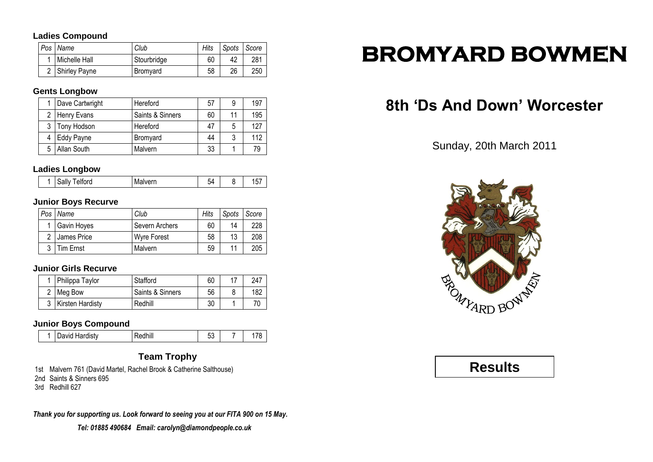#### **Ladies Compound**

|  | Pos Name        | Club        | Hits | Spots Score |     |
|--|-----------------|-------------|------|-------------|-----|
|  | Michelle Hall   | Stourbridge | 60   |             | 281 |
|  | 2 Shirley Payne | Bromyard    | 58   | 26          | 250 |

### **Gents Longbow**

| 1   Dave Cartwright | Hereford         | 57 | 9  | 197 |
|---------------------|------------------|----|----|-----|
| 2   Henry Evans     | Saints & Sinners | 60 | 11 | 195 |
| 3   Tony Hodson     | Hereford         | 47 | 5  | 127 |
| Eddy Payne          | Bromyard         | 44 | 3  | 112 |
| 5 Allan South       | Malvern          | 33 |    | 79  |

#### **Ladies Longbow**

| . .              |                                |     |  |
|------------------|--------------------------------|-----|--|
| elford<br>∨וווהר | $\sim$ $\sim$<br><b>MANGLI</b> | - 1 |  |

### **Junior Boys Recurve**

| Pos | Name             | Club               | Hits | Spots | <i>Score</i> |
|-----|------------------|--------------------|------|-------|--------------|
|     | Gavin Hoyes      | Severn Archers     | 60   | 14    | 228          |
|     | James Price      | <b>Wyre Forest</b> | 58   | 13    | 208          |
|     | <b>Tim Ernst</b> | Malvern            | 59   | 11    | 205          |

### **Junior Girls Recurve**

|  | Philippa Taylor      | Stafford         | 60 | 247 |
|--|----------------------|------------------|----|-----|
|  | 2   Mea Bow          | Saints & Sinners | 56 | 182 |
|  | 3   Kirsten Hardisty | Redhill          | 30 | 70  |

### **Junior Boys Compound**

|  | . Hardisty<br>Uavid. | ااااال | $ \sim$<br>◡◡ |  |  |
|--|----------------------|--------|---------------|--|--|
|--|----------------------|--------|---------------|--|--|

# **Team Trophy**

1st Malvern 761 (David Martel, Rachel Brook & Catherine Salthouse) 2nd Saints & Sinners 695 3rd Redhill 627

*Thank you for supporting us. Look forward to seeing you at our FITA 900 on 15 May.*

*Tel: 01885 490684 Email: carolyn@diamondpeople.co.uk*

# **BROMYARD BOWMEN**

# **8th 'Ds And Down' Worcester**

Sunday, 20th March 2011



# **Results**